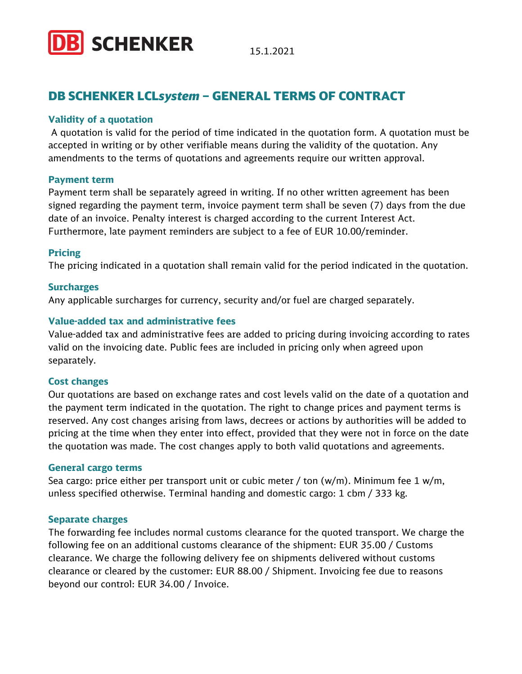

15.1.2021

# DB SCHENKER LCL*system* – GENERAL TERMS OF CONTRACT

## **Validity of a quotation**

A quotation is valid for the period of time indicated in the quotation form. A quotation must be accepted in writing or by other verifiable means during the validity of the quotation. Any amendments to the terms of quotations and agreements require our written approval.

## **Payment term**

Payment term shall be separately agreed in writing. If no other written agreement has been signed regarding the payment term, invoice payment term shall be seven (7) days from the due date of an invoice. Penalty interest is charged according to the current Interest Act. Furthermore, late payment reminders are subject to a fee of EUR 10.00/reminder.

# **Pricing**

The pricing indicated in a quotation shall remain valid for the period indicated in the quotation.

# **Surcharges**

Any applicable surcharges for currency, security and/or fuel are charged separately.

# **Value-added tax and administrative fees**

Value-added tax and administrative fees are added to pricing during invoicing according to rates valid on the invoicing date. Public fees are included in pricing only when agreed upon separately.

## **Cost changes**

Our quotations are based on exchange rates and cost levels valid on the date of a quotation and the payment term indicated in the quotation. The right to change prices and payment terms is reserved. Any cost changes arising from laws, decrees or actions by authorities will be added to pricing at the time when they enter into effect, provided that they were not in force on the date the quotation was made. The cost changes apply to both valid quotations and agreements.

## **General cargo terms**

Sea cargo: price either per transport unit or cubic meter / ton  $(w/m)$ . Minimum fee 1  $w/m$ , unless specified otherwise. Terminal handing and domestic cargo: 1 cbm / 333 kg.

## **Separate charges**

The forwarding fee includes normal customs clearance for the quoted transport. We charge the following fee on an additional customs clearance of the shipment: EUR 35.00 / Customs clearance. We charge the following delivery fee on shipments delivered without customs clearance or cleared by the customer: EUR 88.00 / Shipment. Invoicing fee due to reasons beyond our control: EUR 34.00 / Invoice.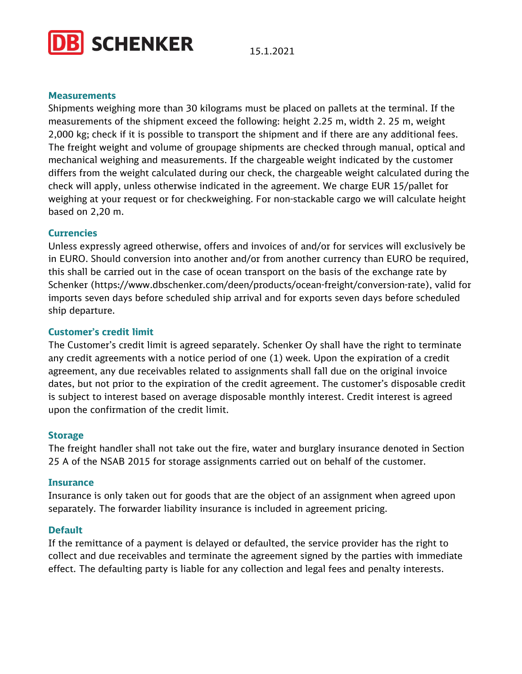

15.1.2021

#### **Measurements**

Shipments weighing more than 30 kilograms must be placed on pallets at the terminal. If the measurements of the shipment exceed the following: height 2.25 m, width 2. 25 m, weight 2,000 kg; check if it is possible to transport the shipment and if there are any additional fees. The freight weight and volume of groupage shipments are checked through manual, optical and mechanical weighing and measurements. If the chargeable weight indicated by the customer differs from the weight calculated during our check, the chargeable weight calculated during the check will apply, unless otherwise indicated in the agreement. We charge EUR 15/pallet for weighing at your request or for checkweighing. For non-stackable cargo we will calculate height based on 2,20 m.

#### **Currencies**

Unless expressly agreed otherwise, offers and invoices of and/or for services will exclusively be in EURO. Should conversion into another and/or from another currency than EURO be required, this shall be carried out in the case of ocean transport on the basis of the exchange rate by Schenker (https://www.dbschenker.com/deen/products/ocean-freight/conversion-rate), valid for imports seven days before scheduled ship arrival and for exports seven days before scheduled ship departure.

### **Customer's credit limit**

The Customer's credit limit is agreed separately. Schenker Oy shall have the right to terminate any credit agreements with a notice period of one (1) week. Upon the expiration of a credit agreement, any due receivables related to assignments shall fall due on the original invoice dates, but not prior to the expiration of the credit agreement. The customer's disposable credit is subject to interest based on average disposable monthly interest. Credit interest is agreed upon the confirmation of the credit limit.

#### **Storage**

The freight handler shall not take out the fire, water and burglary insurance denoted in Section 25 A of the NSAB 2015 for storage assignments carried out on behalf of the customer.

#### **Insurance**

Insurance is only taken out for goods that are the object of an assignment when agreed upon separately. The forwarder liability insurance is included in agreement pricing.

#### **Default**

If the remittance of a payment is delayed or defaulted, the service provider has the right to collect and due receivables and terminate the agreement signed by the parties with immediate effect. The defaulting party is liable for any collection and legal fees and penalty interests.